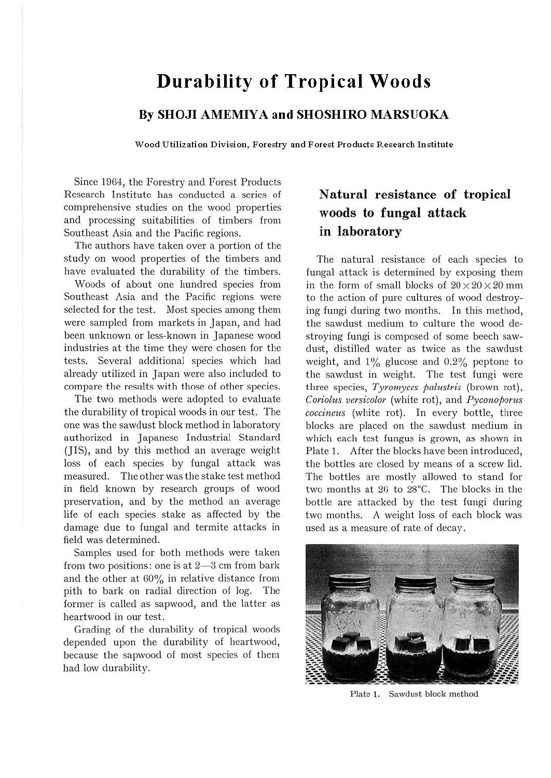# **Durability of Tropical Woods**

### **By SHOJI AMEMIYA and SHOSHIRO MARSUOKA**

**Wood Utilization Division, Forestry and Forest Products Research Institute** 

Since 1964, the Forestry and Forest Products Research Institute has conducted a series of comprehensive studies on the wood properties and processing suitabilities of timbers from Southeast Asia and the Pacific regions.

The authors have taken over a portion of the study on wood properties of the timbers and have evaluated the durability of the timbers.

Woods of about one hundred species from Southeast Asia and the Pacific regions were selected for the test. Most species among them were sampled from markets in Japan, and had been unknown or less-known in Japanese wood industries at the time they were chosen for the tests. Several additional species which had already utilized in Japan were also included to compare the results with those of other species.

The two methods were adopted to evaluate the durability of tropical woods in our test. The one was the sawdust block method in laboratory authorized in Japanese Industrial Standard (JIS}, and by this method an average weight loss of each species by fungal attack was measured. The other was the stake test method in field known by research groups of wood preservation, and by the method an average life of each species stake as affected by the damage due to fungal and termite attacks in field was determined.

Samples used for both methods were taken from two positions: one is at  $2-3$  cm from bark and the other at 60% in relative distance from pith to bark on radial direction of log. The former is called as sapwood, and the latter as heartwood in our test.

Grading of the durability of tropical woods depended upon the durability of heartwood, because the sapwood of most species of them had low durability.

### **Natural resistance of tropical woods to fungal attack in laboratory**

The natural resistance of each species to fungal attack is determined by exposing them in the form of small blocks of  $20 \times 20 \times 20$  mm to the action of pure cultures of wood destroying fungi during two months. In this method, the sawdust medium to culture the wood destroying fungi is composed of some beech sawdust, distilled water as twice as the sawdust weight, and  $1\%$  glucose and  $0.2\%$  peptone to the sawdust in weight. The test fungi were three species, *Tyromyccs palustris* (brown rot), *Coriolus versicolor* (white rot), and *Pyconoporus coccincus* (white rot). In every bottle, three blocks are placed on the sawdust medium in which each test fungus is grown, as shown in Plate 1. After the blocks have been introduced, the bottles are closed by means of a screw lid. The bottles are mostly allowed to stand for two months at 26 to 28°C. The blocks in the bottle are attacked by the test fungi during two months. A weight loss of each block was used as a measure of rate of decay.



Plate 1. Sawdust block method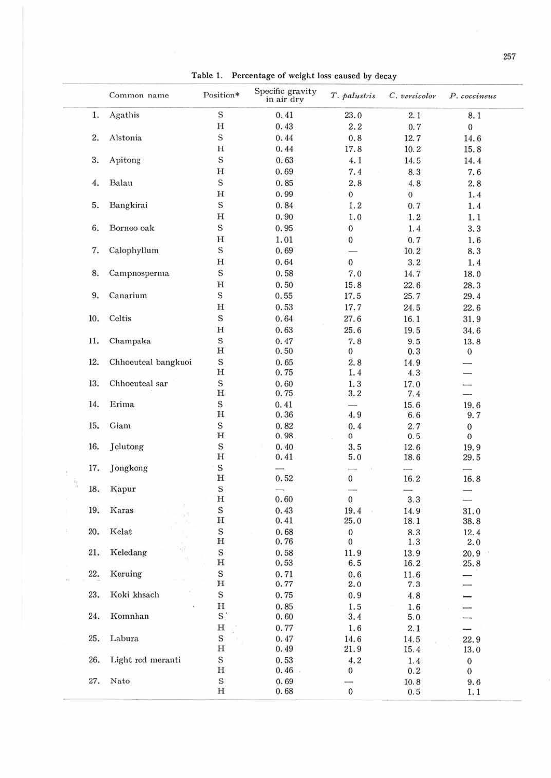|     | Common name         | Position*                                             | Specific gravity<br>in air drv | T. palustris             | C. versicolor | P. coccineus             |
|-----|---------------------|-------------------------------------------------------|--------------------------------|--------------------------|---------------|--------------------------|
| 1.  | Agathis             | $\rm S$                                               | 0.41                           | 23.0                     | 2.1           | 8.1                      |
|     |                     | $\mathbf{H}% _{T}=\mathbf{H}_{T}\times\mathbf{H}_{T}$ | 0.43                           | 2.2                      | 0.7           | $\boldsymbol{0}$         |
| 2.  | Alstonia            | S.                                                    | 0.44                           | 0.8                      | 12.7          | 14.6                     |
|     |                     | $\rm H$                                               | 0.44                           | 17.8                     | 10.2          | 15.8                     |
| 3.  | Apitong             | S                                                     | 0.63                           | 4.1                      | 14.5          | 14.4                     |
|     |                     | $\mathbf H$                                           | 0.69                           | 7.4                      | 8.3           | 7.6                      |
| 4.  | Balau               | $\mathbf S$                                           | 0.85                           | 2, 8                     | 4.8           | 2, 8                     |
|     |                     | $\mathbf H$                                           | 0.99                           | $\mathbf{O}$             | $\mathbf{0}$  | 1.4                      |
| 5.  | Bangkirai           | S                                                     | 0.84                           | 1.2                      | 0.7           | 1.4                      |
|     |                     | $\mathbf H$                                           | 0.90                           | 1.0                      |               |                          |
|     |                     |                                                       |                                |                          | 1, 2          | 1.1                      |
| 6.  | Borneo oak          | $\bf S$                                               | 0.95                           | $\mathbf 0$              | 1.4           | 3.3                      |
|     |                     | $\mathbf H$                                           | 1.01                           | $\boldsymbol{0}$         | 0.7           | 1.6                      |
| 7.  | Calophyllum         | S                                                     | 0.69                           |                          | 10.2          | 8.3                      |
|     |                     | н                                                     | 0.64                           | $\mathbf{0}$             | 3.2           | 1.4                      |
| 8.  | Campnosperma        | S                                                     | 0.58                           | 7.0                      | 14.7          | 18.0                     |
|     |                     | $\mathbf H$                                           | 0.50                           | 15.8                     | 22.6          | 28.3                     |
| 9.  | Canarium            | S                                                     | 0.55                           | 17.5                     | 25.7          | 29.4                     |
|     |                     | н                                                     | 0.53                           | 17.7                     | 24.5          | 22.6                     |
| 10. | Celtis              | $\rm S$                                               | 0.64                           | 27.6                     | 16.1          | 31.9                     |
|     |                     | $\mathbf H$                                           | 0.63                           | 25.6                     | 19.5          | 34.6                     |
| 11. | Champaka            | S                                                     | 0.47                           | 7.8                      | 9.5           | 13.8                     |
|     |                     | $\, {\rm H}$                                          | 0.50                           | $\bf{0}$                 | 0, 3          | $\overline{0}$           |
| 12. | Chhoeuteal bangkuoi | $\rm S$                                               | 0.65                           | 2, 8                     | 14.9          |                          |
|     |                     | $\rm _H$                                              | 0.75                           | 1.4                      | 4.3           | $\overline{\phantom{0}}$ |
| 13. | Chhoeuteal sar      | $\mathbf S$                                           | 0.60                           | 1.3                      | 17.0          | $\overline{\phantom{0}}$ |
|     |                     | $\mathbf H$                                           | 0.75                           | 3.2                      | 7.4           | -                        |
| 14. | Erima               | S                                                     | 0.41                           | $\overline{\phantom{a}}$ | 15.6          | 19.6                     |
|     |                     | H                                                     | 0.36                           | 4.9                      | 6.6           | 9.7                      |
| 15. | Giam                | $\rm S$                                               | 0.82                           | 0.4                      | 2.7           | 0                        |
|     |                     | $\mathbf H$                                           | 0.98                           | $\bf{0}$                 | 0.5           | $\mathbf{0}$             |
| 16. | Jelutong            | S                                                     | 0.40                           | 3, 5                     | 12.6          | 19.9                     |
|     |                     | $\mathbf H$                                           | 0.41                           | 5.0                      | 18.6          | 29.5                     |
| 17. | Jongkong            | S                                                     |                                |                          |               | $\overline{\phantom{a}}$ |
|     |                     | $\mathbf H$                                           | 0.52                           | $\mathbf{0}$             | 16.2          | 16.8                     |
| 18. | Kapur               | $\rm S$                                               |                                | $\frac{1}{2}$            |               |                          |
|     |                     | $\rm H$                                               | 0.60                           | $\mathbf{0}$             | 3.3           | $\overline{\phantom{a}}$ |
|     | 19. Karas           | $\rm s$                                               | 0.43                           | 19.4                     | 14.9          | 31.0                     |
|     |                     | $\, {\rm H}$                                          | 0.41                           | 25.0                     | 18.1          | 38.8                     |
| 20. | Kelat               | $\rm S$                                               | 0.68                           | $\boldsymbol{0}$         | 8.3           | 12.4                     |
|     |                     | $\, {\rm H}$                                          | 0.76                           | $\theta$                 | 1.3           | 2.0                      |
| 21. | 파<br>Keledang       | $\rm S$                                               | 0.58                           | 11.9                     | 13.9          | 20.9                     |
|     | $\mathbb{N}$        | $\mathbf H$                                           | 0.53                           | 6.5                      | 16.2          | 25.8                     |
| 22. | Keruing             | S                                                     | 0.71                           | 0.6                      | 11.6          |                          |
|     |                     | $\, {\rm H}$                                          | 0.77                           | 2.0                      | 7.3           |                          |
| 23. | Koki khsach         | S                                                     | 0.75                           | 0.9                      | 4.8           |                          |
|     |                     | $\mathbf H$                                           | 0.85                           | 1.5                      | 1.6           |                          |
| 24. | Komnhan             | $\mathbf{S}$                                          | 0.60                           | 3.4                      | 5.0           |                          |
|     |                     | н                                                     | 0.77                           | 1.6                      | 2.1           |                          |
| 25. | Labura              | $\mathbf S$                                           | 0.47                           |                          |               | ⊷                        |
|     |                     | $\rm H$                                               | 0.49                           | 14.6<br>21.9             | 14.5          | 22.9                     |
| 26. | Light red meranti   | $\rm S$                                               |                                |                          | 15.4          | 13.0                     |
|     |                     |                                                       | 0.53                           | 4.2                      | 1.4           | $\boldsymbol{0}$         |
|     |                     | $\,$ H                                                | 0.46                           | $\bf{0}$                 | 0.2           | $\boldsymbol{0}$         |
| 27. | Nato                | $\rm S$                                               | 0.69                           |                          | 10.8          | 9.6                      |
|     |                     | $\mathbf H$                                           | 0.68                           | $\overline{0}$           | 0.5           | 1.1                      |

Table 1. Percentage of weight loss caused by decay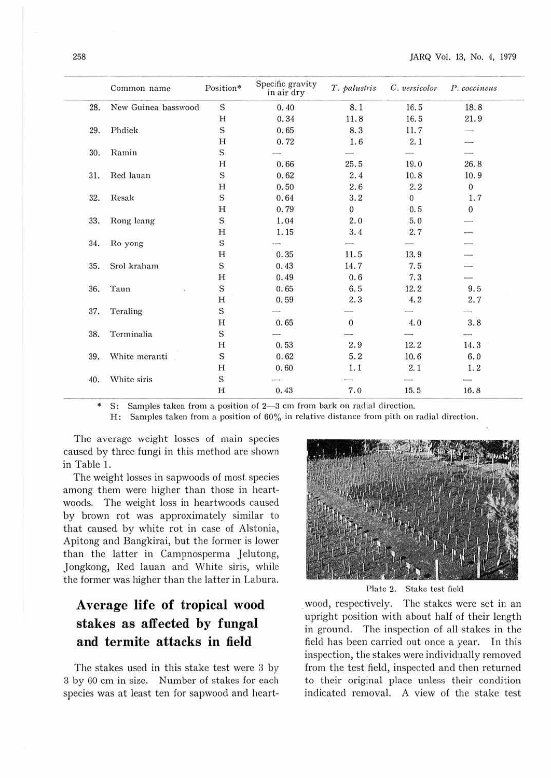|     | Common name         | Position*   | Specific gravity<br>in air dry | T. palustris     | C. versicolor | P. coccineus   |
|-----|---------------------|-------------|--------------------------------|------------------|---------------|----------------|
| 28. | New Guinea basswood | S           | 0.40                           | 8.1              | 16.5          | 18.8           |
|     |                     | Н           | 0.34                           | 11.8             | 16.5          | 21.9           |
| 29. | Phdiek              | $\rm S$     | 0.65                           | 8.3              | 11.7          |                |
|     |                     | H           | 0.72                           | 1.6              | 2.1           |                |
| 30. | Ramin               | S           |                                |                  |               |                |
|     |                     | Н           | 0.66                           | 25.5             | 19.0          | 26.8           |
| 31. | Red lauan           | S           | 0.62                           | 2.4              | 10.8          | 10.9           |
|     |                     | H           | 0.50                           | 2.6              | 2.2           | $\overline{0}$ |
| 32. | Resak               | S           | 0.64                           | 3.2              | $\sigma$      | 1.7            |
|     |                     | н           | 0.79                           | $\boldsymbol{0}$ | 0.5           | $\mathbf{0}$   |
| 33. | Rong leang          | $\mathbf S$ | 1.04                           | 2.0              | 5.0           |                |
|     |                     | н           | 1.15                           | 3.4              | 2.7           |                |
| 34. | Ro yong             | S           |                                |                  |               |                |
|     |                     | H           | 0.35                           | 11.5             | 13.9          |                |
| 35. | Srol kraham         | S           | 0.43                           | 14.7             | 7.5           |                |
|     |                     | H           | 0.49                           | 0.6              | 7.3           |                |
| 36. | Taun                | S           | 0.65                           | 6.5              | 12.2          | 9.5            |
|     |                     | H           | 0.59                           | 2.3              | 4.2           | 2,7            |
| 37. | Teraling            | S           |                                |                  |               |                |
|     |                     | H           | 0.65                           | $\overline{0}$   | 4.0           | 3, 8           |
| 38. | Terminalia          | S           |                                |                  |               |                |
|     |                     | Н           | 0.53                           | 2.9              | 12.2          | 14.3           |
| 39. | White meranti       | S           | 0.62                           | 5.2              | 10.6          | 6.0            |
|     |                     | H           | 0.60                           | 1.1              | 2.1           | 1.2            |
| 40. | White siris         | S           |                                |                  |               |                |
|     |                     | H           | 0.43                           | 7.0              | 15.5          | 16.8           |

S: Samples taken from a position of 2-3 cm from bark on radial direction.

H: Samples taken from a position of 60% in relative distance from pith on radial direction.

The average weight losses of main species caused by three fungi in this method are shown in Table 1.

The weight losses in sapwoods of most species among them were higher than those in heartwoods. The weight loss in heartwoods caused by brown rot was approximately similar to that caused by white rot in case of Alstonia, Apitong and Bangkirai, but the former is lower than the latter in Campnosperma Jelutong, Jongkong, Red lauan and White siris, while the former was higher than the latter in Labura.

## **Average life of tropical wood stakes as affected by fungal and termite attacks in field**

The stakes used in this stake test were 3 by 3 by GO cm in size. Number of stakes for each species was at least ten for sapwood and heart-



Plate 2. Stake test field

. wood, respectively. The stakes were set in an upright position with about half of their length in ground. The inspection of all stakes in the field bas been carried out once a year. In this inspection, the stakes were individually removed from the test field, inspected and then returned to their original place unless their condition indicated removal. A view of the stake test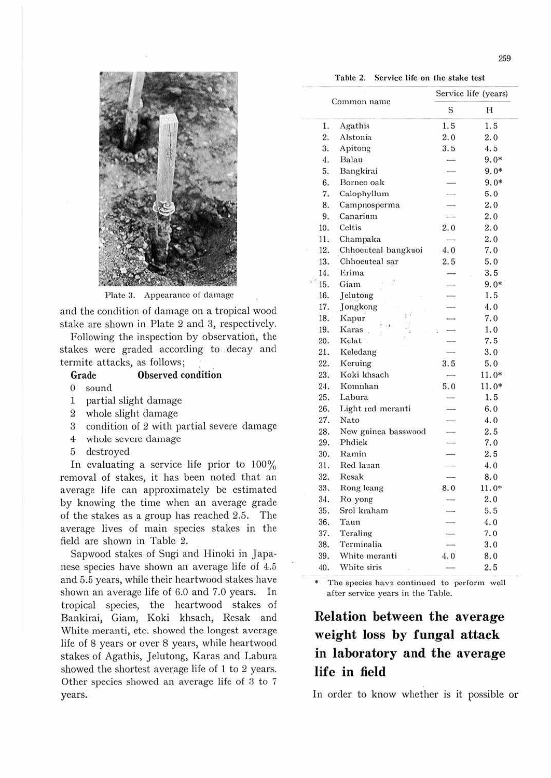

Table 2. Service life on the stake test



Plate 3. Appearance of damage

and the condition of damage on a tropical wood stake are shown in Plate 2 and 3, respectively.

Following the inspection by observation, the stakes were graded according to decay and termite attacks, as follows;

#### Observed condition Grade

- $0$  sound
- 1 partial slight damage
- 2 whole slight damage
- 3 condition of 2 with partial severe damage
- 4 whole severe damage
- 5 destroyed

In evaluating a service life prior to  $100\%$ removal of stakes, it has been noted that an average life can approximately be estimated by knowing the time when an average grade of the stakes as a group has reached 2.5. The average lives of main species stakes in the field are shown in Table 2.

Sapwood stakes of Sugi and Hinoki in Japanese species have shown an average life of 4.5 and 5.5 years, while their heartwood stakes have shown an average life of 6.0 and 7.0 years. In tropical species, the heartwood stakes of Bankirai, Giam, Koki khsach, Resak and White meranti, etc. showed the longest average life of 8 years or over 8 years, while heartwood stakes of Agathis, Jelutong, Karas and Labura showed the shortest average life of 1 to 2 years. Other species showed an average life of 3 to 7 years.

|     |                     |                          | Service life (years) |
|-----|---------------------|--------------------------|----------------------|
|     | Common name         | S                        | Н                    |
| 1.  | Agathis             | 1.5                      | 1.5                  |
| 2.  | Alstonia            | 2.0                      | 2.0                  |
| 3.  | Apitong             | 3.5                      | 4.5                  |
| 4.  | Balau               | $\longrightarrow$        | $9.0*$               |
| 5.  | Bangkirai           |                          | $9.0*$               |
| 6.  | Borneo oak          |                          | $9.0*$               |
| 7.  | Calophyllum         |                          | 5.0                  |
| 8.  | Campnosperma        |                          | 2.0                  |
| 9.  | Canarium            | $\frac{1}{2}$            | 2.0                  |
| 10. | Celtis              | 2.0                      | 2.0                  |
| 11. | Champaka            |                          | 2.0                  |
| 12. | Chhoeuteal bangkuoi | 4.0                      | 7.0                  |
| 13. | Chhoeuteal sar      | 2.5                      | 5.0                  |
| 14. | Erima               | $\sim$                   | 3.5                  |
| 15. | Giam                |                          | $9.0*$               |
| 16. | Jelutong            |                          | 1.5                  |
| 17. | Jongkong            |                          | 4.0                  |
| 18. | 8d<br>Kapur         |                          | 7.0                  |
| 19. | Karas               |                          | 1.0                  |
| 20. | Kelat               |                          | 7.5                  |
| 21. | Keledang            |                          | 3.0                  |
| 22. | Keruing             | 3.5                      | 5.0                  |
| 23. | Koki khsach         | $\sim$                   | $11.0*$              |
| 24. | Komnhan             | 5.0                      | $11.0*$              |
| 25. | Labura              | <b>SILL</b>              | 1.5                  |
| 26. | Light red meranti   |                          | 6.0                  |
| 27. | Nato                |                          | 4.0                  |
| 28. | New guinea basswood |                          | 2.5                  |
| 29. | Phdiek              |                          | 7.0                  |
| 30. | Ramin               | $\overline{\phantom{a}}$ | 2.5                  |
| 31. | Red lauan           |                          | 4.0                  |
| 32. | Resak               | $\overline{\phantom{a}}$ | 8.0                  |
| 33. | Rong leang          | 8.0                      | $11.0*$              |
| 34. | Ro yong             |                          | 2.0                  |
| 35. | Srol kraham         |                          | 5.5                  |
| 36. | Taun                |                          | 4.0                  |
| 37. | Teraling            |                          | 7.0                  |
| 38. | Terminalia          |                          | 3.0                  |
| 39. | White meranti       | 4.0                      | 8.0                  |
| 40. | White siris         | ×.                       | 2.5                  |

The species have continued to perform well after service years in the Table.

## Relation between the average weight loss by fungal attack in laboratory and the average life in field

In order to know whether is it possible or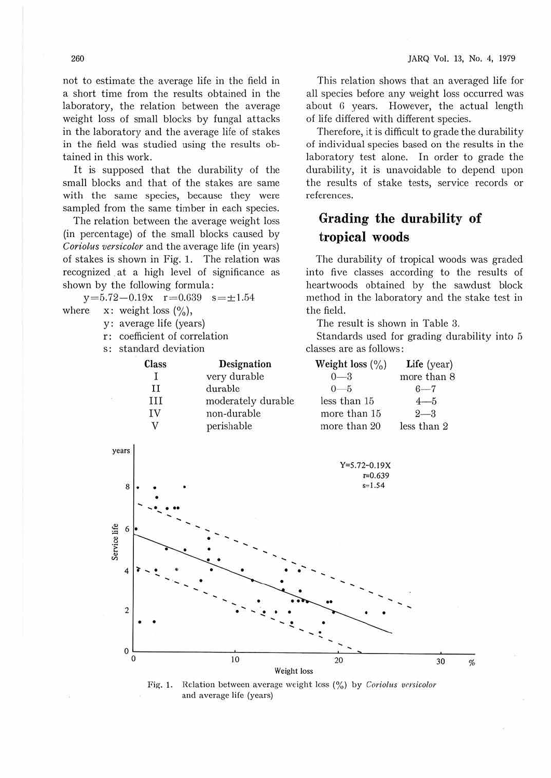not to estimate the average life in the field in a short time from the results obtained in the laboratory, the relation between the average weight loss of small blocks by fungal attacks in the laboratory and the average life of stakes in the field was studied using the results obtained in this work.

It is supposed that the durability of the small blocks and that of the stakes are same with the same species, because they were sampled from the same timber in each species.

The relation between the average weight loss (in percentage) of the small blocks caused by *Coriolus versicolor* and the average life (in years) of stakes is shown in Fig. 1. The relation was recognized . at a high level of significance as shown by the following formula:

 $y = 5.72 - 0.19x$   $r = 0.639$   $s = \pm 1.54$ where  $x:$  weight loss  $(%),$ 

y: average life (years)

- r: coefficient of correlation
- s: standard deviation

| ian uvvianni |                    |  |
|--------------|--------------------|--|
| Class        | Designation        |  |
| L            | very durable       |  |
| H            | durable            |  |
| Ш            | moderately durable |  |
| TV           | non-durable        |  |
|              | perishable         |  |

This relation shows that an averaged life for all species before any weight loss occurred was about 6 years. However, the actual length of life differed with different species.

Therefore, it is difficult to grade the durability of individual species based on the results in the laboratory test alone. In order to grade the durability, it is unavoidable to depend upon the results of stake tests, service records or references.

## **Grading the durability of tropical woods**

The durability of tropical woods was graded into five classes according to the results of heartwoods obtained by the sawdust block method in the laboratory and the stake test in the field.

The result is shown in Table 3.

Standards used for grading durability into 5 classes are as follows:

| Weight loss $(\% )$ | Life (year) |  |  |
|---------------------|-------------|--|--|
| $0 - 3$             | more than 8 |  |  |
|                     |             |  |  |
| less than 15        | $4-$        |  |  |
| more than 15        |             |  |  |
| more than 20        | less than 2 |  |  |



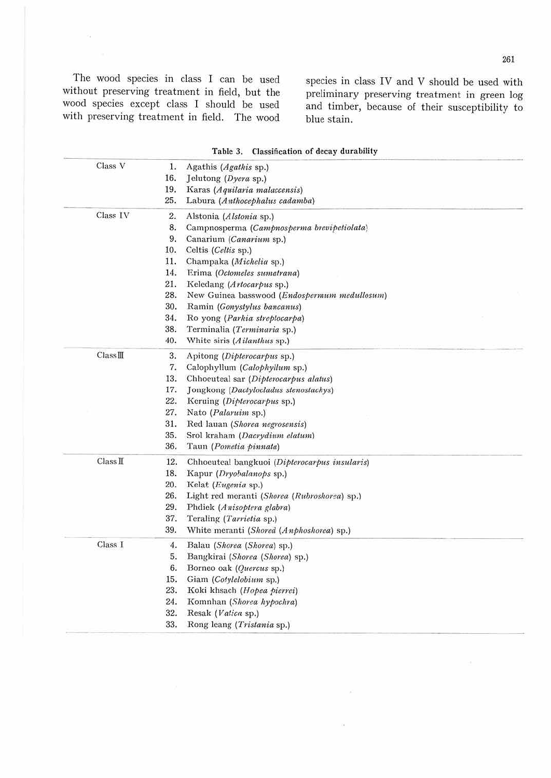The wood species in class I can be used without preserving treatment in field, but the<br>wood species except class I should be used<br>with preserving treatment in field. The wood

species in class IV and V should be used with preliminary preserving treatment in green log<br>and timber, because of their susceptibility to blue stain.

| Class V  | 1.  | Agathis (Agathis sp.)                         |
|----------|-----|-----------------------------------------------|
|          | 16. | Jelutong (Dyera sp.)                          |
|          | 19. | Karas (Aquilaria malaccensis)                 |
|          | 25. | Labura (Anthocephalus cadamba)                |
| Class IV | 2.  | Alstonia (Alstonia sp.)                       |
|          | 8.  | Campnosperma (Campnosperma brevipetiolata)    |
|          | 9.  | Canarium (Canarium sp.)                       |
|          | 10. | Celtis (Celtis sp.)                           |
|          | 11. | Champaka (Michelia sp.)                       |
|          | 14. | Erima (Octomeles sumatrana)                   |
|          | 21. | Keledang (Artocarpus sp.)                     |
|          | 28. | New Guinea basswood (Endospermum medullosum)  |
|          | 30. | Ramin (Gonystylus bancanus)                   |
|          | 34. | Ro yong (Parkia streptocarpa)                 |
|          | 38. | Terminalia (Terminaria sp.)                   |
|          | 40. | White siris (Ailanthus sp.)                   |
| Class II | 3.  | Apitong (Dipterocarpus sp.)                   |
|          | 7.  | Calophyllum (Calophyllum sp.)                 |
|          | 13. | Chhoeuteal sar (Dipterocarpus alatus)         |
|          | 17. | Jongkong (Dactylocladus stenostachys)         |
|          | 22. | Keruing (Dipterocarpus sp.)                   |
|          | 27. | Nato (Palaruim sp.)                           |
|          | 31. | Red lauan (Shorea negrosensis)                |
|          | 35. | Srol kraham (Dacrydium elatum)                |
|          | 36. | Taun (Pometia pinnata)                        |
| Class II | 12. | Chhoeuteal bangkuoi (Dipterocarpus insularis) |
|          | 18. | Kapur (Dryohalanops sp.)                      |
|          | 20. | Kelat (Eugenia sp.)                           |
|          | 26. | Light red meranti (Shorea (Rubroshorea) sp.)  |
|          | 29. | Phdiek (Anisoptera glabra)                    |
|          | 37. | Teraling (Tarrietia sp.)                      |
|          | 39. | White meranti (Shored (Anphoshorea) sp.)      |
| Class I  | 4.  | Balau (Shorea (Shorea) sp.)                   |
|          | 5.  | Bangkirai (Shorea (Shorea) sp.)               |
|          | 6.  | Borneo oak (Quercus sp.)                      |
|          | 15. | Giam (Cotylelobium sp.)                       |
|          | 23. | Koki khsach (Hopea pierrei)                   |
|          | 24. | Komnhan (Shorea hypochra)                     |
|          | 32. | Resak (Vatica sp.)                            |
|          | 33. | Rong leang (Tristania sp.)                    |
|          |     |                                               |

Table 3. Classification of decay durability